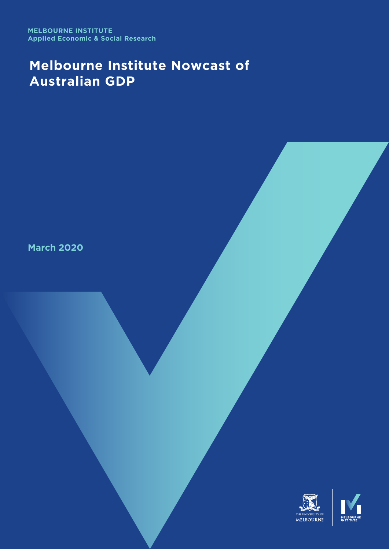**MELBOURNE INSTITUTE Applied Economic & Social Research**

# **Melbourne Institute Nowcast of Australian GDP**

**March 2020**

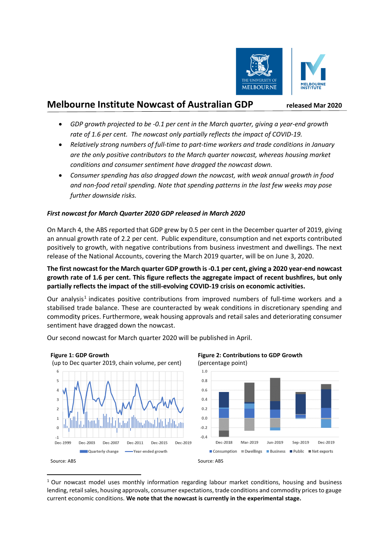

## **Melbourne Institute Nowcast of Australian GDP released Mar <sup>2020</sup>**

- *GDP growth projected to be -0.1 per cent in the March quarter, giving a year-end growth rate of 1.6 per cent. The nowcast only partially reflects the impact of COVID-19.*
- *Relatively strong numbers of full-time to part-time workers and trade conditions in January are the only positive contributors to the March quarter nowcast, whereas housing market conditions and consumer sentiment have dragged the nowcast down.*
- *Consumer spending has also dragged down the nowcast, with weak annual growth in food and non-food retail spending. Note that spending patterns in the last few weeks may pose further downside risks.*

### *First nowcast for March Quarter 2020 GDP released in March 2020*

On March 4, the ABS reported that GDP grew by 0.5 per cent in the December quarter of 2019, giving an annual growth rate of 2.2 per cent. Public expenditure, consumption and net exports contributed positively to growth, with negative contributions from business investment and dwellings. The next release of the National Accounts, covering the March 2019 quarter, will be on June 3, 2020.

#### **The first nowcast for the March quarter GDP growth is -0.1 per cent, giving a 2020 year-end nowcast growth rate of 1.6 per cent. This figure reflects the aggregate impact of recent bushfires, but only partially reflects the impact of the still-evolving COVID-19 crisis on economic activities.**

Our analysis<sup>1</sup> indicates positive contributions from improved numbers of full-time workers and a stabilised trade balance. These are counteracted by weak conditions in discretionary spending and commodity prices. Furthermore, weak housing approvals and retail sales and deteriorating consumer sentiment have dragged down the nowcast.

Our second nowcast for March quarter 2020 will be published in April.



 $1$  Our nowcast model uses monthly information regarding labour market conditions, housing and business lending, retail sales, housing approvals, consumer expectations, trade conditions and commodity prices to gauge current economic conditions. **We note that the nowcast is currently in the experimental stage.**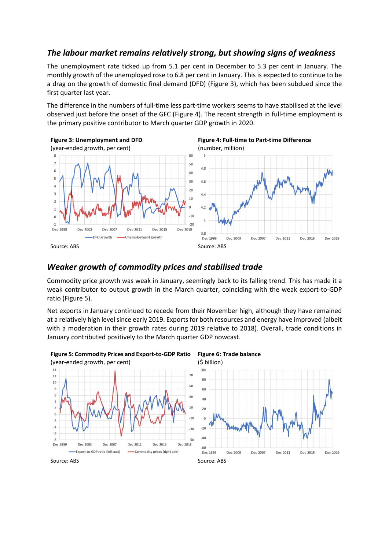## *The labour market remains relatively strong, but showing signs of weakness*

The unemployment rate ticked up from 5.1 per cent in December to 5.3 per cent in January. The monthly growth of the unemployed rose to 6.8 per cent in January. This is expected to continue to be a drag on the growth of domestic final demand (DFD) (Figure 3), which has been subdued since the first quarter last year.

The difference in the numbers of full-time less part-time workers seems to have stabilised at the level observed just before the onset of the GFC (Figure 4). The recent strength in full-time employment is the primary positive contributor to March quarter GDP growth in 2020.









## *Weaker growth of commodity prices and stabilised trade*

Commodity price growth was weak in January, seemingly back to its falling trend. This has made it a weak contributor to output growth in the March quarter, coinciding with the weak export-to-GDP ratio (Figure 5).

Net exports in January continued to recede from their November high, although they have remained at a relatively high level since early 2019. Exports for both resources and energy have improved (albeit with a moderation in their growth rates during 2019 relative to 2018). Overall, trade conditions in January contributed positively to the March quarter GDP nowcast.

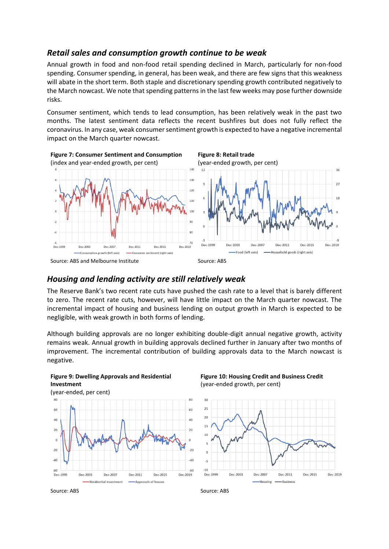## *Retail sales and consumption growth continue to be weak*

Annual growth in food and non-food retail spending declined in March, particularly for non-food spending. Consumer spending, in general, has been weak, and there are few signs that this weakness will abate in the short term. Both staple and discretionary spending growth contributed negatively to the March nowcast. We note that spending patterns in the last few weeks may pose further downside risks.

Consumer sentiment, which tends to lead consumption, has been relatively weak in the past two months. The latest sentiment data reflects the recent bushfires but does not fully reflect the coronavirus. In any case, weak consumer sentiment growth is expected to have a negative incremental impact on the March quarter nowcast.



### *Housing and lending activity are still relatively weak*

The Reserve Bank's two recent rate cuts have pushed the cash rate to a level that is barely different to zero. The recent rate cuts, however, will have little impact on the March quarter nowcast. The incremental impact of housing and business lending on output growth in March is expected to be negligible, with weak growth in both forms of lending.

Although building approvals are no longer exhibiting double-digit annual negative growth, activity remains weak. Annual growth in building approvals declined further in January after two months of improvement. The incremental contribution of building approvals data to the March nowcast is negative.





**Figure 10: Housing Credit and Business Credit** (year-ended growth, per cent)



Source: ABS Source: ABS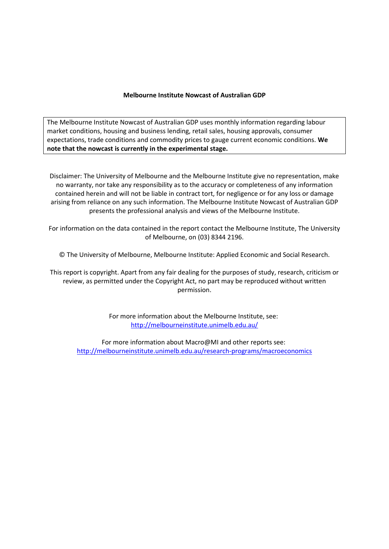#### **Melbourne Institute Nowcast of Australian GDP**

The Melbourne Institute Nowcast of Australian GDP uses monthly information regarding labour market conditions, housing and business lending, retail sales, housing approvals, consumer expectations, trade conditions and commodity prices to gauge current economic conditions. **We note that the nowcast is currently in the experimental stage.**

Disclaimer: The University of Melbourne and the Melbourne Institute give no representation, make no warranty, nor take any responsibility as to the accuracy or completeness of any information contained herein and will not be liable in contract tort, for negligence or for any loss or damage arising from reliance on any such information. The Melbourne Institute Nowcast of Australian GDP presents the professional analysis and views of the Melbourne Institute.

For information on the data contained in the report contact the Melbourne Institute, The University of Melbourne, on (03) 8344 2196.

© The University of Melbourne, Melbourne Institute: Applied Economic and Social Research.

This report is copyright. Apart from any fair dealing for the purposes of study, research, criticism or review, as permitted under the Copyright Act, no part may be reproduced without written permission.

> For more information about the Melbourne Institute, see: <http://melbourneinstitute.unimelb.edu.au/>

For more information about Macro@MI and other reports see: <http://melbourneinstitute.unimelb.edu.au/research-programs/macroeconomics>